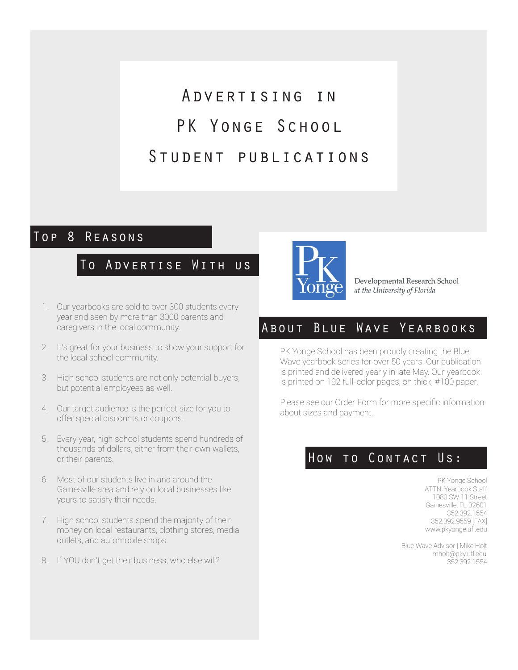# Advertising in PK YONGE SCHOOL Student publications

### Top 8 Reasons

### To Advertise With us

Developmental Research School at the University of Florida

- 1. Our yearbooks are sold to over 300 students every year and seen by more than 3000 parents and caregivers in the local community.
- 2. It's great for your business to show your support for the local school community.
- 3. High school students are not only potential buyers, but potential employees as well.
- 4. Our target audience is the perfect size for you to offer special discounts or coupons.
- 5. Every year, high school students spend hundreds of thousands of dollars, either from their own wallets, or their parents.
- 6. Most of our students live in and around the Gainesville area and rely on local businesses like yours to satisfy their needs.
- 7. High school students spend the majority of their money on local restaurants, clothing stores, media outlets, and automobile shops.
- 8. If YOU don't get their business, who else will?

## About Blue Wave Yearbooks

PK Yonge School has been proudly creating the Blue Wave yearbook series for over 50 years. Our publication is printed and delivered yearly in late May. Our yearbook is printed on 192 full-color pages, on thick, #100 paper.

Please see our Order Form for more specific information about sizes and payment.

## HOW TO CONTACT US:

PK Yonge School ATTN: Yearbook Staff 1080 SW 11 Street Gainesville, FL 32601 352.392.1554 352.392.9559 [FAX] www.pkyonge.ufl.edu

Blue Wave Advisor | Mike Holt mholt@pky.ufl.edu 352.392.1554